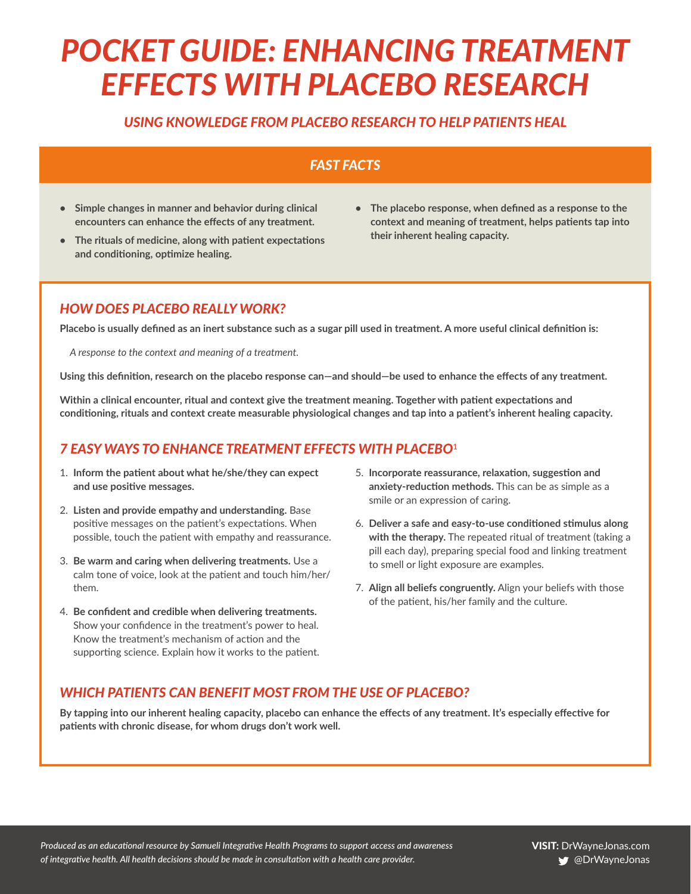# *POCKET GUIDE: ENHANCING TREATMENT EFFECTS WITH PLACEBO RESEARCH*

## *USING KNOWLEDGE FROM PLACEBO RESEARCH TO HELP PATIENTS HEAL*

## *FAST FACTS*

- **• Simple changes in manner and behavior during clinical encounters can enhance the effects of any treatment.**
- **• The rituals of medicine, along with patient expectations and conditioning, optimize healing.**
- **• The placebo response, when defined as a response to the context and meaning of treatment, helps patients tap into their inherent healing capacity.**

## *HOW DOES PLACEBO REALLY WORK?*

**Placebo is usually defined as an inert substance such as a sugar pill used in treatment. A more useful clinical definition is:**

*A response to the context and meaning of a treatment.*

**Using this definition, research on the placebo response can—and should—be used to enhance the effects of any treatment.**

**Within a clinical encounter, ritual and context give the treatment meaning. Together with patient expectations and conditioning, rituals and context create measurable physiological changes and tap into a patient's inherent healing capacity.** 

## *7 EASY WAYS TO ENHANCE TREATMENT EFFECTS WITH PLACEBO*<sup>1</sup>

- 1. **Inform the patient about what he/she/they can expect and use positive messages.**
- 2. **Listen and provide empathy and understanding.** Base positive messages on the patient's expectations. When possible, touch the patient with empathy and reassurance.
- 3. **Be warm and caring when delivering treatments.** Use a calm tone of voice, look at the patient and touch him/her/ them.
- 4. **Be confident and credible when delivering treatments.**  Show your confidence in the treatment's power to heal. Know the treatment's mechanism of action and the supporting science. Explain how it works to the patient.
- 5. **Incorporate reassurance, relaxation, suggestion and anxiety-reduction methods.** This can be as simple as a smile or an expression of caring.
- 6. **Deliver a safe and easy-to-use conditioned stimulus along with the therapy.** The repeated ritual of treatment (taking a pill each day), preparing special food and linking treatment to smell or light exposure are examples.
- 7. **Align all beliefs congruently.** Align your beliefs with those of the patient, his/her family and the culture.

## *WHICH PATIENTS CAN BENEFIT MOST FROM THE USE OF PLACEBO?*

**By tapping into our inherent healing capacity, placebo can enhance the effects of any treatment. It's especially effective for patients with chronic disease, for whom drugs don't work well.**

*Produced as an educational resource by Samueli Integrative Health Programs to support access and awareness of integrative health. All health decisions should be made in consultation with a health care provider.*